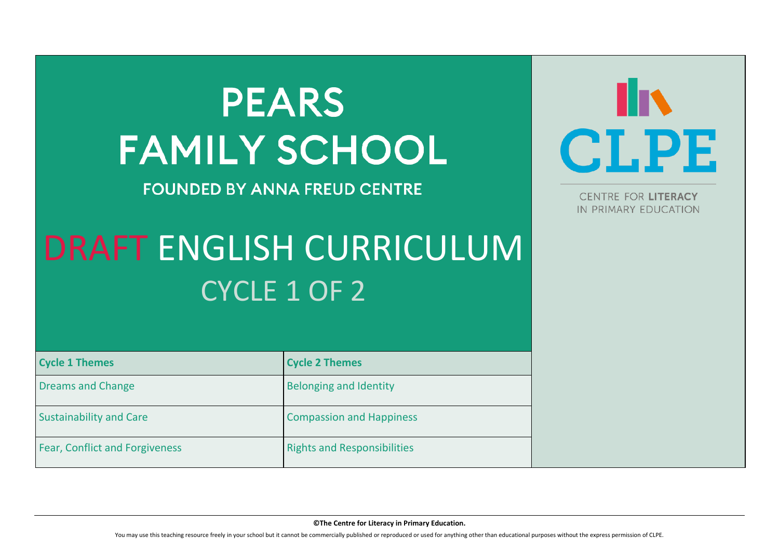# **PEARS FAMILY SCHOOL**

**FOUNDED BY ANNA FREUD CENTRE** 

**©The Centre for Literacy in Primary Education.**

You may use this teaching resource freely in your school but it cannot be commercially published or reproduced or used for anything other than educational purposes without the express permission of CLPE.



# DRAFT ENGLISH CURRICULUM CYCLE 1 OF 2

| <b>Cycle 1 Themes</b>                 | <b>Cycle 2 Themes</b>              |
|---------------------------------------|------------------------------------|
| <b>Dreams and Change</b>              | <b>Belonging and Identity</b>      |
| <b>Sustainability and Care</b>        | <b>Compassion and Happiness</b>    |
| <b>Fear, Conflict and Forgiveness</b> | <b>Rights and Responsibilities</b> |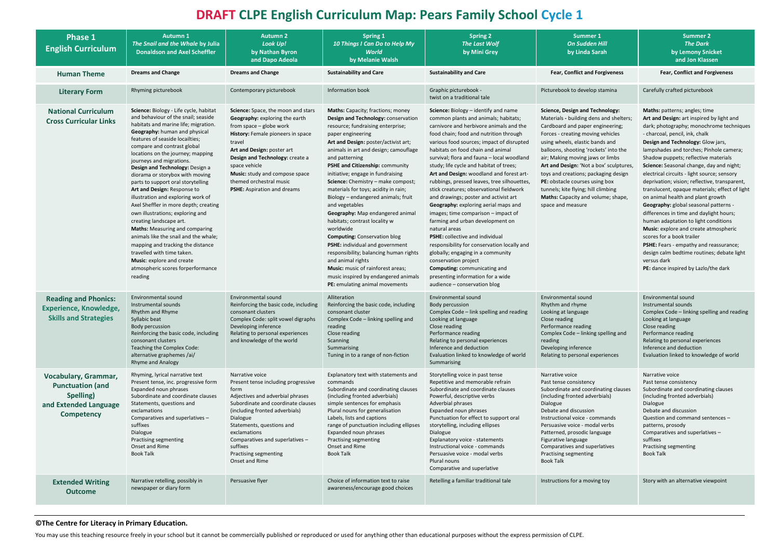#### **©The Centre for Literacy in Primary Education.**

| <b>Phase 1</b><br><b>English Curriculum</b>                                                                       | <b>Autumn 1</b><br>The Snail and the Whale by Julia<br><b>Donaldson and Axel Scheffler</b>                                                                                                                                                                                                                                                                                                                                                                                                                                                                                                                                                                                                                                                                                                                           | <b>Autumn 2</b><br><b>Look Up!</b><br>by Nathan Byron<br>and Dapo Adeola                                                                                                                                                                                                                                                            | <b>Spring 1</b><br>10 Things I Can Do to Help My<br>World<br>by Melanie Walsh                                                                                                                                                                                                                                                                                                                                                                                                                                                                                                                                                                                                                                                                                                                                | <b>Spring 2</b><br><b>The Last Wolf</b><br>by Mini Grey                                                                                                                                                                                                                                                                                                                                                                                                                                                                                                                                                                                                                                                                                                                                                                                                                                                                            | Summer 1<br><b>On Sudden Hill</b><br>by Linda Sarah                                                                                                                                                                                                                                                                                                                                                                                                                                              | <b>Summer 2</b><br><b>The Dark</b><br>by Lemony Snicket<br>and Jon Klassen                                                                                                                                                                                                                                                                                                                                                                                                                                                                                                                                                                                                                                                                                                                                                                                           |
|-------------------------------------------------------------------------------------------------------------------|----------------------------------------------------------------------------------------------------------------------------------------------------------------------------------------------------------------------------------------------------------------------------------------------------------------------------------------------------------------------------------------------------------------------------------------------------------------------------------------------------------------------------------------------------------------------------------------------------------------------------------------------------------------------------------------------------------------------------------------------------------------------------------------------------------------------|-------------------------------------------------------------------------------------------------------------------------------------------------------------------------------------------------------------------------------------------------------------------------------------------------------------------------------------|--------------------------------------------------------------------------------------------------------------------------------------------------------------------------------------------------------------------------------------------------------------------------------------------------------------------------------------------------------------------------------------------------------------------------------------------------------------------------------------------------------------------------------------------------------------------------------------------------------------------------------------------------------------------------------------------------------------------------------------------------------------------------------------------------------------|------------------------------------------------------------------------------------------------------------------------------------------------------------------------------------------------------------------------------------------------------------------------------------------------------------------------------------------------------------------------------------------------------------------------------------------------------------------------------------------------------------------------------------------------------------------------------------------------------------------------------------------------------------------------------------------------------------------------------------------------------------------------------------------------------------------------------------------------------------------------------------------------------------------------------------|--------------------------------------------------------------------------------------------------------------------------------------------------------------------------------------------------------------------------------------------------------------------------------------------------------------------------------------------------------------------------------------------------------------------------------------------------------------------------------------------------|----------------------------------------------------------------------------------------------------------------------------------------------------------------------------------------------------------------------------------------------------------------------------------------------------------------------------------------------------------------------------------------------------------------------------------------------------------------------------------------------------------------------------------------------------------------------------------------------------------------------------------------------------------------------------------------------------------------------------------------------------------------------------------------------------------------------------------------------------------------------|
| <b>Human Theme</b>                                                                                                | <b>Dreams and Change</b>                                                                                                                                                                                                                                                                                                                                                                                                                                                                                                                                                                                                                                                                                                                                                                                             | <b>Dreams and Change</b>                                                                                                                                                                                                                                                                                                            | <b>Sustainability and Care</b>                                                                                                                                                                                                                                                                                                                                                                                                                                                                                                                                                                                                                                                                                                                                                                               | <b>Sustainability and Care</b>                                                                                                                                                                                                                                                                                                                                                                                                                                                                                                                                                                                                                                                                                                                                                                                                                                                                                                     | <b>Fear, Conflict and Forgiveness</b>                                                                                                                                                                                                                                                                                                                                                                                                                                                            | <b>Fear, Conflict and Forgiveness</b>                                                                                                                                                                                                                                                                                                                                                                                                                                                                                                                                                                                                                                                                                                                                                                                                                                |
| <b>Literary Form</b>                                                                                              | Rhyming picturebook                                                                                                                                                                                                                                                                                                                                                                                                                                                                                                                                                                                                                                                                                                                                                                                                  | Contemporary picturebook                                                                                                                                                                                                                                                                                                            | Information book                                                                                                                                                                                                                                                                                                                                                                                                                                                                                                                                                                                                                                                                                                                                                                                             | Graphic picturebook -<br>twist on a traditional tale                                                                                                                                                                                                                                                                                                                                                                                                                                                                                                                                                                                                                                                                                                                                                                                                                                                                               | Picturebook to develop stamina                                                                                                                                                                                                                                                                                                                                                                                                                                                                   | Carefully crafted picturebook                                                                                                                                                                                                                                                                                                                                                                                                                                                                                                                                                                                                                                                                                                                                                                                                                                        |
| <b>National Curriculum</b><br><b>Cross Curricular Links</b>                                                       | Science: Biology - Life cycle, habitat<br>and behaviour of the snail; seaside<br>habitats and marine life; migration.<br>Geography: human and physical<br>features of seaside locailties;<br>compare and contrast global<br>locations on the journey; mapping<br>journeys and migrations.<br>Design and Technology: Design a<br>diorama or storybox with moving<br>parts to support oral storytelling<br>Art and Design: Response to<br>illustration and exploring work of<br>Axel Sheffler in more depth; creating<br>own illustrations; exploring and<br>creating landscape art.<br><b>Maths:</b> Measuring and comparing<br>animals like the snail and the whale;<br>mapping and tracking the distance<br>travelled with time taken.<br>Music: explore and create<br>atmospheric scores forperformance<br>reading | Science: Space, the moon and stars<br>Geography: exploring the earth<br>from space - globe work<br>History: Female pioneers in space<br>travel<br>Art and Design: poster art<br>Design and Technology: create a<br>space vehicle<br><b>Music:</b> study and compose space<br>themed orchestral music<br>PSHE: Aspiration and dreams | Maths: Capacity; fractions; money<br>Design and Technology: conservation<br>resource; fundraising enterprise;<br>paper engineering<br>Art and Design: poster/activist art;<br>animals in art and design; camouflage<br>and patterning<br>PSHE and Citizenship: community<br>initiative; engage in fundraising<br>Science: Chemistry - make compost;<br>materials for toys; acidity in rain;<br>Biology - endangered animals; fruit<br>and vegetables<br>Geography: Map endangered animal<br>habitats; contrast locality w<br>worldwide<br><b>Computing: Conservation blog</b><br><b>PSHE:</b> individual and government<br>responsibility; balancing human rights<br>and animal rights<br><b>Music:</b> music of rainforest areas;<br>music inspired by endangered animals<br>PE: emulating animal movements | Science: Biology - identify and name<br>common plants and animals; habitats;<br>carnivore and herbivore animals and the<br>food chain; food and nutrition through<br>various food sources; impact of disrupted<br>habitats on food chain and animal<br>survival; flora and fauna - local woodland<br>study; life cycle and habitat of trees;<br>Art and Design: woodland and forest art-<br>rubbings, pressed leaves, tree silhouettes,<br>stick creatures; observational fieldwork<br>and drawings; poster and activist art<br>Geography: exploring aerial maps and<br>images; time comparison - impact of<br>farming and urban development on<br>natural areas<br><b>PSHE:</b> collective and individual<br>responsibility for conservation locally and<br>globally; engaging in a community<br>conservation project<br><b>Computing:</b> communicating and<br>presenting information for a wide<br>audience - conservation blog | <b>Science, Design and Technology:</b><br>Materials - building dens and shelters;<br>Cardboard and paper engineering;<br>Forces - creating moving vehicles<br>using wheels, elastic bands and<br>balloons, shooting 'rockets' into the<br>air; Making moving jaws or limbs<br>Art and Design: 'Not a box' sculptures<br>toys and creations; packaging design<br>PE: obstacle courses using box<br>tunnels; kite flying; hill climbing<br>Maths: Capacity and volume; shape,<br>space and measure | Maths: patterns; angles; time<br>Art and Design: art inspired by light and<br>dark; photography; monochrome techniques<br>- charcoal, pencil, ink, chalk<br>Design and Technology: Glow jars,<br>lampshades and torches; Pinhole camera;<br>Shadow puppets; reflective materials<br>Science: Seasonal change, day and night;<br>electrical circuits - light source; sensory<br>deprivation; vision; reflective, transparent,<br>translucent, opaque materials; effect of light<br>on animal health and plant growth<br>Geography: global seasonal patterns -<br>differences in time and daylight hours;<br>human adaptation to light conditions<br>Music: explore and create atmospheric<br>scores for a book trailer<br>PSHE: Fears - empathy and reassurance;<br>design calm bedtime routines; debate light<br>versus dark<br>PE: dance inspired by Lazlo/the dark |
| <b>Reading and Phonics:</b><br><b>Experience, Knowledge,</b><br><b>Skills and Strategies</b>                      | Environmental sound<br>Instrumental sounds<br>Rhythm and Rhyme<br>Syllabic beat<br>Body percussion<br>Reinforcing the basic code, including<br>consonant clusters<br>Teaching the Complex Code:<br>alternative graphemes /ai/<br><b>Rhyme and Analogy</b>                                                                                                                                                                                                                                                                                                                                                                                                                                                                                                                                                            | Environmental sound<br>Reinforcing the basic code, including<br>consonant clusters<br>Complex Code: split vowel digraphs<br>Developing inference<br>Relating to personal experiences<br>and knowledge of the world                                                                                                                  | Alliteration<br>Reinforcing the basic code, including<br>consonant cluster<br>Complex Code – linking spelling and<br>reading<br>Close reading<br>Scanning<br>Summarising<br>Tuning in to a range of non-fiction                                                                                                                                                                                                                                                                                                                                                                                                                                                                                                                                                                                              | Environmental sound<br>Body percussion<br>Complex Code - link spelling and reading<br>Looking at language<br>Close reading<br>Performance reading<br>Relating to personal experiences<br>Inference and deduction<br>Evaluation linked to knowledge of world<br>Summarising                                                                                                                                                                                                                                                                                                                                                                                                                                                                                                                                                                                                                                                         | Environmental sound<br>Rhythm and rhyme<br>Looking at language<br>Close reading<br>Performance reading<br>Complex Code - linking spelling and<br>reading<br>Developing inference<br>Relating to personal experiences                                                                                                                                                                                                                                                                             | Environmental sound<br>Instrumental sounds<br>Complex Code - linking spelling and reading<br>Looking at language<br>Close reading<br>Performance reading<br>Relating to personal experiences<br>Inference and deduction<br>Evaluation linked to knowledge of world                                                                                                                                                                                                                                                                                                                                                                                                                                                                                                                                                                                                   |
| <b>Vocabulary, Grammar,</b><br><b>Punctuation (and</b><br>Spelling)<br>and Extended Language<br><b>Competency</b> | Rhyming, lyrical narrative text<br>Present tense, inc. progressive form<br>Expanded noun phrases<br>Subordinate and coordinate clauses<br>Statements, questions and<br>exclamations<br>Comparatives and superlatives -<br>suffixes<br>Dialogue<br>Practising segmenting<br>Onset and Rime<br><b>Book Talk</b>                                                                                                                                                                                                                                                                                                                                                                                                                                                                                                        | Narrative voice<br>Present tense including progressive<br>form<br>Adjectives and adverbial phrases<br>Subordinate and coordinate clauses<br>(including fronted adverbials)<br>Dialogue<br>Statements, questions and<br>exclamations<br>Comparatives and superlatives -<br>suffixes<br>Practising segmenting<br>Onset and Rime       | Explanatory text with statements and<br>commands<br>Subordinate and coordinating clauses<br>(including fronted adverbials)<br>simple sentences for emphasis<br>Plural nouns for generalisation<br>Labels, lists and captions<br>range of punctuation including ellipses<br>Expanded noun phrases<br>Practising segmenting<br>Onset and Rime<br><b>Book Talk</b>                                                                                                                                                                                                                                                                                                                                                                                                                                              | Storytelling voice in past tense<br>Repetitive and memorable refrain<br>Subordinate and coordinate clauses<br>Powerful, descriptive verbs<br>Adverbial phrases<br>Expanded noun phrases<br>Punctuation for effect to support oral<br>storytelling, including ellipses<br>Dialogue<br>Explanatory voice - statements<br>Instructional voice - commands<br>Persuasive voice - modal verbs<br>Plural nouns<br>Comparative and superlative                                                                                                                                                                                                                                                                                                                                                                                                                                                                                             | Narrative voice<br>Past tense consistency<br>Subordinate and coordinating clauses<br>(including fronted adverbials)<br>Dialogue<br>Debate and discussion<br>Instructional voice - commands<br>Persuasive voice - modal verbs<br>Patterned, prosodic language<br>Figurative language<br>Comparatives and superlatives<br>Practising segmenting<br><b>Book Talk</b>                                                                                                                                | Narrative voice<br>Past tense consistency<br>Subordinate and coordinating clauses<br>(including fronted adverbials)<br>Dialogue<br>Debate and discussion<br>Question and command sentences -<br>patterns, prosody<br>Comparatives and superlatives -<br>suffixes<br>Practising segmenting<br>Book Talk                                                                                                                                                                                                                                                                                                                                                                                                                                                                                                                                                               |
| <b>Extended Writing</b><br><b>Outcome</b>                                                                         | Narrative retelling, possibly in<br>newspaper or diary form                                                                                                                                                                                                                                                                                                                                                                                                                                                                                                                                                                                                                                                                                                                                                          | Persuasive flyer                                                                                                                                                                                                                                                                                                                    | Choice of information text to raise<br>awareness/encourage good choices                                                                                                                                                                                                                                                                                                                                                                                                                                                                                                                                                                                                                                                                                                                                      | Retelling a familiar traditional tale                                                                                                                                                                                                                                                                                                                                                                                                                                                                                                                                                                                                                                                                                                                                                                                                                                                                                              | Instructions for a moving toy                                                                                                                                                                                                                                                                                                                                                                                                                                                                    | Story with an alternative viewpoint                                                                                                                                                                                                                                                                                                                                                                                                                                                                                                                                                                                                                                                                                                                                                                                                                                  |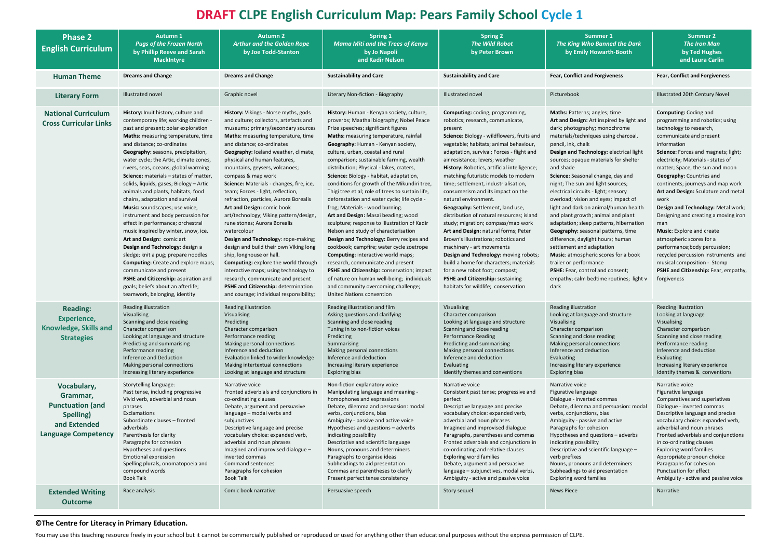**©The Centre for Literacy in Primary Education.**

| <b>Phase 2</b><br><b>English Curriculum</b>                                                                   | <b>Autumn 1</b><br><b>Pugs of the Frozen North</b><br>by Phillip Reeve and Sarah<br><b>MackIntyre</b>                                                                                                                                                                                                                                                                                                                                                                                                                                                                                                                                                                                                                                                                                                                                                                                                                                    | <b>Autumn 2</b><br><b>Arthur and the Golden Rope</b><br>by Joe Todd-Stanton                                                                                                                                                                                                                                                                                                                                                                                                                                                                                                                                                                                                                                                                                                                                                                                                                                   | <b>Spring 1</b><br><b>Mama Miti and the Trees of Kenya</b><br>by Jo Napoli<br>and Kadir Nelson                                                                                                                                                                                                                                                                                                                                                                                                                                                                                                                                                                                                                                                                                                                                                                                                                                                                                                                                                     | <b>Spring 2</b><br><b>The Wild Robot</b><br>by Peter Brown                                                                                                                                                                                                                                                                                                                                                                                                                                                                                                                                                                                                                                                                                                                                                                                                                                   | Summer 1<br>The King Who Banned the Dark<br>by Emily Howarth-Booth                                                                                                                                                                                                                                                                                                                                                                                                                                                                                                                                                                                                                                                                                                                                                                     | <b>Summer 2</b><br><b>The Iron Man</b><br>by Ted Hughes<br>and Laura Carlin                                                                                                                                                                                                                                                                                                                                                                                                                                                                                                                                                                                                             |
|---------------------------------------------------------------------------------------------------------------|------------------------------------------------------------------------------------------------------------------------------------------------------------------------------------------------------------------------------------------------------------------------------------------------------------------------------------------------------------------------------------------------------------------------------------------------------------------------------------------------------------------------------------------------------------------------------------------------------------------------------------------------------------------------------------------------------------------------------------------------------------------------------------------------------------------------------------------------------------------------------------------------------------------------------------------|---------------------------------------------------------------------------------------------------------------------------------------------------------------------------------------------------------------------------------------------------------------------------------------------------------------------------------------------------------------------------------------------------------------------------------------------------------------------------------------------------------------------------------------------------------------------------------------------------------------------------------------------------------------------------------------------------------------------------------------------------------------------------------------------------------------------------------------------------------------------------------------------------------------|----------------------------------------------------------------------------------------------------------------------------------------------------------------------------------------------------------------------------------------------------------------------------------------------------------------------------------------------------------------------------------------------------------------------------------------------------------------------------------------------------------------------------------------------------------------------------------------------------------------------------------------------------------------------------------------------------------------------------------------------------------------------------------------------------------------------------------------------------------------------------------------------------------------------------------------------------------------------------------------------------------------------------------------------------|----------------------------------------------------------------------------------------------------------------------------------------------------------------------------------------------------------------------------------------------------------------------------------------------------------------------------------------------------------------------------------------------------------------------------------------------------------------------------------------------------------------------------------------------------------------------------------------------------------------------------------------------------------------------------------------------------------------------------------------------------------------------------------------------------------------------------------------------------------------------------------------------|----------------------------------------------------------------------------------------------------------------------------------------------------------------------------------------------------------------------------------------------------------------------------------------------------------------------------------------------------------------------------------------------------------------------------------------------------------------------------------------------------------------------------------------------------------------------------------------------------------------------------------------------------------------------------------------------------------------------------------------------------------------------------------------------------------------------------------------|-----------------------------------------------------------------------------------------------------------------------------------------------------------------------------------------------------------------------------------------------------------------------------------------------------------------------------------------------------------------------------------------------------------------------------------------------------------------------------------------------------------------------------------------------------------------------------------------------------------------------------------------------------------------------------------------|
| <b>Human Theme</b>                                                                                            | <b>Dreams and Change</b>                                                                                                                                                                                                                                                                                                                                                                                                                                                                                                                                                                                                                                                                                                                                                                                                                                                                                                                 | <b>Dreams and Change</b>                                                                                                                                                                                                                                                                                                                                                                                                                                                                                                                                                                                                                                                                                                                                                                                                                                                                                      | <b>Sustainability and Care</b>                                                                                                                                                                                                                                                                                                                                                                                                                                                                                                                                                                                                                                                                                                                                                                                                                                                                                                                                                                                                                     | <b>Sustainability and Care</b>                                                                                                                                                                                                                                                                                                                                                                                                                                                                                                                                                                                                                                                                                                                                                                                                                                                               | <b>Fear, Conflict and Forgiveness</b>                                                                                                                                                                                                                                                                                                                                                                                                                                                                                                                                                                                                                                                                                                                                                                                                  | <b>Fear, Conflict and Forgiveness</b>                                                                                                                                                                                                                                                                                                                                                                                                                                                                                                                                                                                                                                                   |
| <b>Literary Form</b>                                                                                          | Illustrated novel                                                                                                                                                                                                                                                                                                                                                                                                                                                                                                                                                                                                                                                                                                                                                                                                                                                                                                                        | Graphic novel                                                                                                                                                                                                                                                                                                                                                                                                                                                                                                                                                                                                                                                                                                                                                                                                                                                                                                 | Literary Non-fiction - Biography                                                                                                                                                                                                                                                                                                                                                                                                                                                                                                                                                                                                                                                                                                                                                                                                                                                                                                                                                                                                                   | Illustrated novel                                                                                                                                                                                                                                                                                                                                                                                                                                                                                                                                                                                                                                                                                                                                                                                                                                                                            | Picturebook                                                                                                                                                                                                                                                                                                                                                                                                                                                                                                                                                                                                                                                                                                                                                                                                                            | Illustrated 20th Century Novel                                                                                                                                                                                                                                                                                                                                                                                                                                                                                                                                                                                                                                                          |
| <b>National Curriculum</b><br><b>Cross Curricular Links</b>                                                   | History: Inuit history, culture and<br>contemporary life; working children -<br>past and present; polar exploration<br><b>Maths:</b> measuring temperature, time<br>and distance; co-ordinates<br>Geography: seasons, precipitation,<br>water cycle; the Artic, climate zones,<br>rivers, seas, oceans; global warming<br>Science: materials - states of matter,<br>solids, liquids, gases; Biology - Artic<br>animals and plants, habitats, food<br>chains, adaptation and survival<br>Music: soundscapes; use voice,<br>instrument and body percussion for<br>effect in performance; orchestral<br>music inspired by winter, snow, ice.<br>Art and Design: comic art<br>Design and Technology: design a<br>sledge; knit a pug; prepare noodles<br><b>Computing:</b> Create and explore maps;<br>communicate and present<br>PSHE and Citizenship: aspiration and<br>goals; beliefs about an afterlife;<br>teamwork, belonging, identity | History: Vikings - Norse myths, gods<br>and culture; collectors, artefacts and<br>museums; primary/secondary sources<br><b>Maths:</b> measuring temperature, time<br>and distance; co-ordinates<br>Geography: Iceland weather, climate,<br>physical and human features,<br>mountains, geysers, volcanoes;<br>compass & map work<br>Science: Materials - changes, fire, ice,<br>team; Forces - light, reflection,<br>refraction, particles, Aurora Borealis<br>Art and Design: comic book<br>art/technology; Viking pattern/design,<br>rune stones; Aurora Borealis<br>watercolour<br>Design and Technology: rope-making;<br>design and build their own Viking long<br>ship, longhouse or hall.<br><b>Computing:</b> explore the world through<br>interactive maps; using technology to<br>research, communicate and present<br>PSHE and Citizenship: determination<br>and courage; individual responsibility; | History: Human - Kenyan society, culture,<br>proverbs; Maathai biography; Nobel Peace<br>Prize speeches; significant figures<br>Maths: measuring temperature, rainfall<br>Geography: Human - Kenyan society,<br>culture, urban, coastal and rural<br>comparison; sustainable farming, wealth<br>distribution; Physical - lakes, craters,<br>Science: Biology - habitat, adaptation,<br>conditions for growth of the Mikundiri tree,<br>Thigi tree et al; role of trees to sustain life,<br>deforestation and water cycle; life cycle -<br>frog; Materials - wood burning.<br>Art and Design: Masai beading; wood<br>sculpture; response to illustration of Kadir<br>Nelson and study of characterisation<br>Design and Technology: Berry recipes and<br>cookbook; campfire; water cycle zoetrope<br><b>Computing:</b> interactive world maps;<br>research, communicate and present<br>PSHE and Citizenship: conservation; impact<br>of nature on human well-being; individuals<br>and community overcoming challenge;<br>United Nations convention | <b>Computing:</b> coding, programming,<br>robotics; research, communicate,<br>present<br>Science: Biology - wildflowers, fruits and<br>vegetable; habitats; animal behaviour,<br>adaptation, survival; Forces - flight and<br>air resistance; levers; weather<br>History: Robotics, artificial intelligence;<br>matching futuristic models to modern<br>time; settlement, industrialisation,<br>consumerism and its impact on the<br>natural environment.<br>Geography: Settlement, land use,<br>distribution of natural resources; island<br>study; migration; compass/map work<br>Art and Design: natural forms; Peter<br>Brown's illustrations; robotics and<br>machinery - art movements<br>Design and Technology: moving robots;<br>build a home for characters; materials<br>for a new robot foot; compost;<br>PSHE and Citizenship: sustaining<br>habitats for wildlife; conservation | Maths: Patterns; angles; time<br>Art and Design: Art inspired by light and<br>dark; photography; monochrome<br>materials/techniques using charcoal,<br>pencil, ink, chalk<br>Design and Technology: electrical light<br>sources; opaque materials for shelter<br>and shade<br>Science: Seasonal change, day and<br>night; The sun and light sources;<br>electrical circuits - light; sensory<br>overload; vision and eyes; impact of<br>light and dark on animal/human health<br>and plant growth; animal and plant<br>adaptation; sleep patterns, hibernation<br>Geography: seasonal patterns, time<br>difference, daylight hours; human<br>settlement and adaptation<br><b>Music:</b> atmospheric scores for a book<br>trailer or performance<br>PSHE: Fear, control and consent;<br>empathy; calm bedtime routines; light v<br>dark | <b>Computing: Coding and</b><br>programming and robotics; using<br>technology to research,<br>communicate and present<br>information<br>Science: Forces and magnets; light;<br>electricity; Materials - states of<br>matter; Space, the sun and moon<br>Geography: Countries and<br>continents; journeys and map work<br>Art and Design: Sculpture and metal<br>work<br>Design and Technology: Metal work;<br>Designing and creating a moving iron<br>man<br><b>Music:</b> Explore and create<br>atmospheric scores for a<br>performance; body percussion;<br>recycled percussion instruments and<br>musical composition - Stomp<br>PSHE and Citizenship: Fear, empathy,<br>forgiveness |
| <b>Reading:</b><br><b>Experience,</b><br><b>Knowledge, Skills and</b><br><b>Strategies</b>                    | Reading illustration<br>Visualising<br>Scanning and close reading<br>Character comparison<br>Looking at language and structure<br>Predicting and summarising<br>Performance reading<br>Inference and Deduction<br>Making personal connections<br>Increasing literary experience                                                                                                                                                                                                                                                                                                                                                                                                                                                                                                                                                                                                                                                          | Reading illustration<br>Visualising<br>Predicting<br>Character comparison<br>Performance reading<br>Making personal connections<br>Inference and deduction<br>Evaluation linked to wider knowledge<br>Making intertextual connections<br>Looking at language and structure                                                                                                                                                                                                                                                                                                                                                                                                                                                                                                                                                                                                                                    | Reading illustration and film<br>Asking questions and clarifying<br>Scanning and close reading<br>Tuning in to non-fiction voices<br>Predicting<br>Summarising<br>Making personal connections<br>Inference and deduction<br>Increasing literary experience<br>Exploring bias                                                                                                                                                                                                                                                                                                                                                                                                                                                                                                                                                                                                                                                                                                                                                                       | Visualising<br>Character comparison<br>Looking at language and structure<br>Scanning and close reading<br>Performance Reading<br>Predicting and summarising<br>Making personal connections<br>Inference and deduction<br>Evaluating<br>Identify themes and conventions                                                                                                                                                                                                                                                                                                                                                                                                                                                                                                                                                                                                                       | Reading illustration<br>Looking at language and structure<br>Visualising<br>Character comparison<br>Scanning and close reading<br>Making personal connections<br>Inference and deduction<br>Evaluating<br>Increasing literary experience<br>Exploring bias                                                                                                                                                                                                                                                                                                                                                                                                                                                                                                                                                                             | Reading illustration<br>Looking at language<br>Visualising<br>Character comparison<br>Scanning and close reading<br>Performance reading<br>Inference and deduction<br>Evaluating<br>Increasing literary experience<br>Identify themes & conventions                                                                                                                                                                                                                                                                                                                                                                                                                                     |
| Vocabulary,<br>Grammar,<br><b>Punctuation (and</b><br>Spelling)<br>and Extended<br><b>Language Competency</b> | Storytelling language:<br>Past tense, including progressive<br>Vivid verb, adverbial and noun<br>phrases<br>Exclamations<br>Subordinate clauses - fronted<br>adverbials<br>Parenthesis for clarity<br>Paragraphs for cohesion<br>Hypotheses and questions<br>Emotional expression<br>Spelling plurals, onomatopoeia and<br>compound words<br><b>Book Talk</b>                                                                                                                                                                                                                                                                                                                                                                                                                                                                                                                                                                            | Narrative voice<br>Fronted adverbials and conjunctions in<br>co-ordinating clauses<br>Debate, argument and persuasive<br>language – modal verbs and<br>subjunctives<br>Descriptive language and precise<br>vocabulary choice: expanded verb,<br>adverbial and noun phrases<br>Imagined and improvised dialogue -<br>inverted commas<br>Command sentences<br>Paragraphs for cohesion<br><b>Book Talk</b>                                                                                                                                                                                                                                                                                                                                                                                                                                                                                                       | Non-fiction explanatory voice<br>Manipulating language and meaning -<br>homophones and expressions<br>Debate, dilemma and persuasion: modal<br>verbs, conjunctions, bias<br>Ambiguity - passive and active voice<br>Hypotheses and questions - adverbs<br>indicating possibility<br>Descriptive and scientific language<br>Nouns, pronouns and determiners<br>Paragraphs to organise ideas<br>Subheadings to aid presentation<br>Commas and parentheses to clarify<br>Present perfect tense consistency                                                                                                                                                                                                                                                                                                                                                                                                                                                                                                                                            | Narrative voice<br>Consistent past tense; progressive and<br>perfect<br>Descriptive language and precise<br>vocabulary choice: expanded verb,<br>adverbial and noun phrases<br>Imagined and improvised dialogue<br>Paragraphs, parentheses and commas<br>Fronted adverbials and conjunctions in<br>co-ordinating and relative clauses<br><b>Exploring word families</b><br>Debate, argument and persuasive<br>language - subjunctives, modal verbs,<br>Ambiguity - active and passive voice                                                                                                                                                                                                                                                                                                                                                                                                  | Narrative voice<br>Figurative language<br>Dialogue - inverted commas<br>Debate, dilemma and persuasion: moda<br>verbs, conjunctions, bias<br>Ambiguity - passive and active<br>Paragraphs for cohesion<br>Hypotheses and questions - adverbs<br>indicating possibility<br>Descriptive and scientific language -<br>verb prefixes<br>Nouns, pronouns and determiners<br>Subheadings to aid presentation<br><b>Exploring word families</b>                                                                                                                                                                                                                                                                                                                                                                                               | Narrative voice<br>Figurative language<br>Comparatives and superlatives<br>Dialogue - inverted commas<br>Descriptive language and precise<br>vocabulary choice: expanded verb,<br>adverbial and noun phrases<br>Fronted adverbials and conjunctions<br>in co-ordinating clauses<br><b>Exploring word families</b><br>Appropriate pronoun choice<br>Paragraphs for cohesion<br>Punctuation for effect<br>Ambiguity - active and passive voice                                                                                                                                                                                                                                            |
| <b>Extended Writing</b><br><b>Outcome</b>                                                                     | Race analysis                                                                                                                                                                                                                                                                                                                                                                                                                                                                                                                                                                                                                                                                                                                                                                                                                                                                                                                            | Comic book narrative                                                                                                                                                                                                                                                                                                                                                                                                                                                                                                                                                                                                                                                                                                                                                                                                                                                                                          | Persuasive speech                                                                                                                                                                                                                                                                                                                                                                                                                                                                                                                                                                                                                                                                                                                                                                                                                                                                                                                                                                                                                                  | Story sequel                                                                                                                                                                                                                                                                                                                                                                                                                                                                                                                                                                                                                                                                                                                                                                                                                                                                                 | <b>News Piece</b>                                                                                                                                                                                                                                                                                                                                                                                                                                                                                                                                                                                                                                                                                                                                                                                                                      | Narrative                                                                                                                                                                                                                                                                                                                                                                                                                                                                                                                                                                                                                                                                               |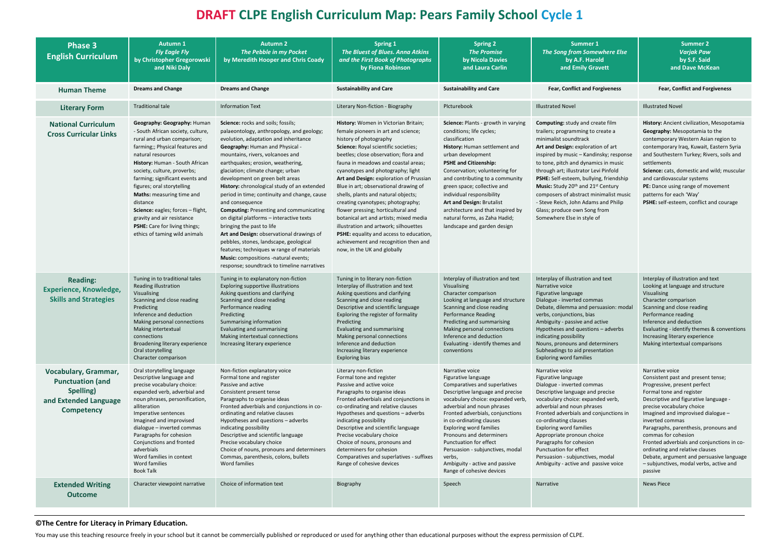#### **©The Centre for Literacy in Primary Education.**

| <b>Phase 3</b><br><b>English Curriculum</b>                                                                | <b>Autumn 1</b><br><b>Fly Eagle Fly</b><br>by Christopher Gregorowski<br>and Niki Daly                                                                                                                                                                                                                                                                                                                                                                                         | <b>Autumn 2</b><br>The Pebble in my Pocket<br>by Meredith Hooper and Chris Coady                                                                                                                                                                                                                                                                                                                                                                                                                                                                                                                                                                                                                                                                                                            | <b>Spring 1</b><br>The Bluest of Blues. Anna Atkins<br>and the First Book of Photographs<br>by Fiona Robinson                                                                                                                                                                                                                                                                                                                                                                                                                                                                                                                                                                 | <b>Spring 2</b><br><b>The Promise</b><br>by Nicola Davies<br>and Laura Carlin                                                                                                                                                                                                                                                                                                                                                                       | <b>Summer 1</b><br>The Song from Somewhere Else<br>by A.F. Harold<br>and Emily Gravett                                                                                                                                                                                                                                                                                                                                                                                                                                           | <b>Summer 2</b><br><b>Varjak Paw</b><br>by S.F. Said<br>and Dave McKean                                                                                                                                                                                                                                                                                                                                                                                                                             |
|------------------------------------------------------------------------------------------------------------|--------------------------------------------------------------------------------------------------------------------------------------------------------------------------------------------------------------------------------------------------------------------------------------------------------------------------------------------------------------------------------------------------------------------------------------------------------------------------------|---------------------------------------------------------------------------------------------------------------------------------------------------------------------------------------------------------------------------------------------------------------------------------------------------------------------------------------------------------------------------------------------------------------------------------------------------------------------------------------------------------------------------------------------------------------------------------------------------------------------------------------------------------------------------------------------------------------------------------------------------------------------------------------------|-------------------------------------------------------------------------------------------------------------------------------------------------------------------------------------------------------------------------------------------------------------------------------------------------------------------------------------------------------------------------------------------------------------------------------------------------------------------------------------------------------------------------------------------------------------------------------------------------------------------------------------------------------------------------------|-----------------------------------------------------------------------------------------------------------------------------------------------------------------------------------------------------------------------------------------------------------------------------------------------------------------------------------------------------------------------------------------------------------------------------------------------------|----------------------------------------------------------------------------------------------------------------------------------------------------------------------------------------------------------------------------------------------------------------------------------------------------------------------------------------------------------------------------------------------------------------------------------------------------------------------------------------------------------------------------------|-----------------------------------------------------------------------------------------------------------------------------------------------------------------------------------------------------------------------------------------------------------------------------------------------------------------------------------------------------------------------------------------------------------------------------------------------------------------------------------------------------|
| <b>Human Theme</b>                                                                                         | <b>Dreams and Change</b>                                                                                                                                                                                                                                                                                                                                                                                                                                                       | <b>Dreams and Change</b>                                                                                                                                                                                                                                                                                                                                                                                                                                                                                                                                                                                                                                                                                                                                                                    | <b>Sustainability and Care</b>                                                                                                                                                                                                                                                                                                                                                                                                                                                                                                                                                                                                                                                | <b>Sustainability and Care</b>                                                                                                                                                                                                                                                                                                                                                                                                                      | <b>Fear, Conflict and Forgiveness</b>                                                                                                                                                                                                                                                                                                                                                                                                                                                                                            | <b>Fear, Conflict and Forgiveness</b>                                                                                                                                                                                                                                                                                                                                                                                                                                                               |
| <b>Literary Form</b>                                                                                       | <b>Traditional tale</b>                                                                                                                                                                                                                                                                                                                                                                                                                                                        | <b>Information Text</b>                                                                                                                                                                                                                                                                                                                                                                                                                                                                                                                                                                                                                                                                                                                                                                     | Literary Non-fiction - Biography                                                                                                                                                                                                                                                                                                                                                                                                                                                                                                                                                                                                                                              | Plcturebook                                                                                                                                                                                                                                                                                                                                                                                                                                         | <b>Illustrated Novel</b>                                                                                                                                                                                                                                                                                                                                                                                                                                                                                                         | <b>Illustrated Novel</b>                                                                                                                                                                                                                                                                                                                                                                                                                                                                            |
| <b>National Curriculum</b><br><b>Cross Curricular Links</b>                                                | Geography: Geography: Human<br>- South African society, culture,<br>rural and urban comparison;<br>farming;; Physical features and<br>natural resources<br>History: Human - South African<br>society, culture, proverbs;<br>farming; significant events and<br>figures; oral storytelling<br>Maths: measuring time and<br>distance<br>Science: eagles; forces - flight,<br>gravity and air resistance<br><b>PSHE:</b> Care for living things;<br>ethics of taming wild animals | Science: rocks and soils; fossils;<br>palaeontology, anthropology, and geology;<br>evolution, adaptation and inheritance<br><b>Geography: Human and Physical -</b><br>mountains, rivers, volcanoes and<br>earthquakes; erosion, weathering,<br>glaciation; climate change; urban<br>development on green belt areas<br>History: chronological study of an extended<br>period in time; continuity and change, cause<br>and consequence<br><b>Computing: Presenting and communicating</b><br>on digital platforms – interactive texts<br>bringing the past to life<br>Art and Design: observational drawings of<br>pebbles, stones, landscape, geological<br>features; techniques w range of materials<br>Music: compositions -natural events;<br>response; soundtrack to timeline narratives | History: Women in Victorian Britain;<br>female pioneers in art and science;<br>history of photography<br>Science: Royal scientific societies;<br>beetles; close observation; flora and<br>fauna in meadows and coastal areas;<br>cyanotypes and photography; light<br>Art and Design: exploration of Prussian<br>Blue in art; observational drawing of<br>shells, plants and natural objects;<br>creating cyanotypes; photography;<br>flower pressing; horticultural and<br>botanical art and artists; mixed media<br>illustration and artwork; silhouettes<br>PSHE: equality and access to education,<br>achievement and recognition then and<br>now, in the UK and globally | Science: Plants - growth in varying<br>conditions; life cycles;<br>classification<br>History: Human settlement and<br>urban development<br><b>PSHE and Citizenship:</b><br>Conservation; volunteering for<br>and contributing to a community<br>green space; collective and<br>individual responsibility<br>Art and Design: Brutalist<br>architecture and that inspired by<br>natural forms, as Zaha Hadid;<br>landscape and garden design          | <b>Computing:</b> study and create film<br>trailers; programming to create a<br>minimalist soundtrack<br>Art and Design: exploration of art<br>inspired by music - Kandinsky; response<br>to tone, pitch and dynamics in music<br>through art; illustrator Levi Pinfold<br>PSHE: Self-esteem, bullying, friendship<br>Music: Study 20 <sup>th</sup> and 21 <sup>st</sup> Century<br>composers of abstract minimalist music<br>- Steve Reich, John Adams and Philip<br>Glass; produce own Song from<br>Somewhere Else in style of | History: Ancient civilization, Mesopotamia<br>Geography: Mesopotamia to the<br>contemporary Western Asian region to<br>contemporary Iraq, Kuwait, Eastern Syria<br>and Southestern Turkey; Rivers, soils and<br>settlements<br>Science: cats, domestic and wild; muscular<br>and cardiovascular systems<br>PE: Dance using range of movement<br>patterns for each 'Way'<br>PSHE: self-esteem, conflict and courage                                                                                  |
| <b>Reading:</b><br><b>Experience, Knowledge,</b><br><b>Skills and Strategies</b>                           | Tuning in to traditional tales<br>Reading illustration<br>Visualising<br>Scanning and close reading<br>Predicting<br>Inference and deduction<br>Making personal connections<br>Making intertextual<br>connections<br>Broadening literary experience<br>Oral storytelling<br>Character comparison                                                                                                                                                                               | Tuning in to explanatory non-fiction<br>Exploring supportive illustrations<br>Asking questions and clarifying<br>Scanning and close reading<br>Performance reading<br>Predicting<br>Summarising information<br>Evaluating and summarising<br>Making intertextual connections<br>Increasing literary experience                                                                                                                                                                                                                                                                                                                                                                                                                                                                              | Tuning in to literary non-fiction<br>Interplay of illustration and text<br>Asking questions and clarifying<br>Scanning and close reading<br>Descriptive and scientific language<br>Exploring the register of formality<br>Predicting<br>Evaluating and summarising<br>Making personal connections<br>Inference and deduction<br>Increasing literary experience<br><b>Exploring bias</b>                                                                                                                                                                                                                                                                                       | Interplay of illustration and text<br>Visualising<br>Character comparison<br>Looking at language and structure<br>Scanning and close reading<br>Performance Reading<br>Predicting and summarising<br>Making personal connections<br>Inference and deduction<br>Evaluating - identify themes and<br>conventions                                                                                                                                      | Interplay of illustration and text<br>Narrative voice<br>Figurative language<br>Dialogue - inverted commas<br>Debate, dilemma and persuasion: modal<br>verbs, conjunctions, bias<br>Ambiguity - passive and active<br>Hypotheses and questions - adverbs<br>indicating possibility<br>Nouns, pronouns and determiners<br>Subheadings to aid presentation<br><b>Exploring word families</b>                                                                                                                                       | Interplay of illustration and text<br>Looking at language and structure<br>Visualising<br>Character comparison<br>Scanning and close reading<br>Performance reading<br>Inference and deduction<br>Evaluating - identify themes & conventions<br>Increasing literary experience<br>Making intertextual comparisons                                                                                                                                                                                   |
| Vocabulary, Grammar,<br><b>Punctuation (and</b><br>Spelling)<br>and Extended Language<br><b>Competency</b> | Oral storytelling language<br>Descriptive language and<br>precise vocabulary choice:<br>expanded verb, adverbial and<br>noun phrases, personification,<br>alliteration<br>Imperative sentences<br>Imagined and improvised<br>dialogue - inverted commas<br>Paragraphs for cohesion<br>Conjunctions and fronted<br>adverbials<br>Word families in context<br>Word families<br><b>Book Talk</b>                                                                                  | Non-fiction explanatory voice<br>Formal tone and register<br>Passive and active<br>Consistent present tense<br>Paragraphs to organise ideas<br>Fronted adverbials and conjunctions in co-<br>ordinating and relative clauses<br>Hypotheses and questions - adverbs<br>indicating possibility<br>Descriptive and scientific language<br>Precise vocabulary choice<br>Choice of nouns, pronouns and determiners<br>Commas, parenthesis, colons, bullets<br>Word families                                                                                                                                                                                                                                                                                                                      | Literary non-fiction<br>Formal tone and register<br>Passive and active voice<br>Paragraphs to organise ideas<br>Fronted adverbials and conjunctions in<br>co-ordinating and relative clauses<br>Hypotheses and questions - adverbs<br>indicating possibility<br>Descriptive and scientific language<br>Precise vocabulary choice<br>Choice of nouns, pronouns and<br>determiners for cohesion<br>Comparatives and superlatives - suffixes<br>Range of cohesive devices                                                                                                                                                                                                        | Narrative voice<br>Figurative language<br>Comparatives and superlatives<br>Descriptive language and precise<br>vocabulary choice: expanded verb,<br>adverbial and noun phrases<br>Fronted adverbials, conjunctions<br>in co-ordinating clauses<br><b>Exploring word families</b><br>Pronouns and determiners<br>Punctuation for effect<br>Persuasion - subjunctives, modal<br>verbs,<br>Ambiguity - active and passive<br>Range of cohesive devices | Narrative voice<br>Figurative language<br>Dialogue - inverted commas<br>Descriptive language and precise<br>vocabulary choice: expanded verb,<br>adverbial and noun phrases<br>Fronted adverbials and conjunctions in<br>co-ordinating clauses<br><b>Exploring word families</b><br>Appropriate pronoun choice<br>Paragraphs for cohesion<br>Punctuation for effect<br>Persuasion - subjunctives, modal<br>Ambiguity - active and passive voice                                                                                  | Narrative voice<br>Consistent past and present tense;<br>Progressive, present perfect<br>Formal tone and register<br>Descriptive and figurative language -<br>precise vocabulary choice<br>Imagined and improvised dialogue -<br>inverted commas<br>Paragraphs, parenthesis, pronouns and<br>commas for cohesion<br>Fronted adverbials and conjunctions in co-<br>ordinating and relative clauses<br>Debate, argument and persuasive language<br>- subjunctives, modal verbs, active and<br>passive |
| <b>Extended Writing</b><br><b>Outcome</b>                                                                  | Character viewpoint narrative                                                                                                                                                                                                                                                                                                                                                                                                                                                  | Choice of information text                                                                                                                                                                                                                                                                                                                                                                                                                                                                                                                                                                                                                                                                                                                                                                  | Biography                                                                                                                                                                                                                                                                                                                                                                                                                                                                                                                                                                                                                                                                     | Speech                                                                                                                                                                                                                                                                                                                                                                                                                                              | Narrative                                                                                                                                                                                                                                                                                                                                                                                                                                                                                                                        | <b>News Piece</b>                                                                                                                                                                                                                                                                                                                                                                                                                                                                                   |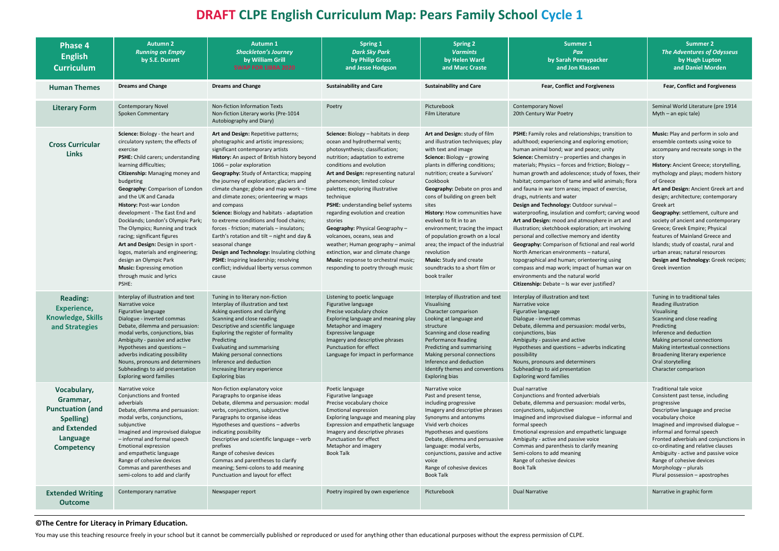#### **©The Centre for Literacy in Primary Education.**

| <b>Phase 4</b><br><b>English</b><br><b>Curriculum</b>                                                                   | <b>Autumn 2</b><br><b>Running on Empty</b><br>by S.E. Durant                                                                                                                                                                                                                                                                                                                                                                                                                                                                                                                                                    | <b>Autumn 1</b><br><b>Shackleton's Journey</b><br>by William Grill<br><b>SWAP FOR LIBBA 2020</b>                                                                                                                                                                                                                                                                                                                                                                                                                                                                                                                                                                                                                                                             | <b>Spring 1</b><br><b>Dark Sky Park</b><br>by Philip Gross<br>and Jesse Hodgson                                                                                                                                                                                                                                                                                                                                                                                                                                                                                                                                       | <b>Spring 2</b><br><b>Varmints</b><br>by Helen Ward<br>and Marc Craste                                                                                                                                                                                                                                                                                                                                                                                                                                                                                         | <b>Summer 1</b><br>Pax<br>by Sarah Pennypacker<br>and Jon Klassen                                                                                                                                                                                                                                                                                                                                                                                                                                                                                                                                                                                                                                                                                                                                                                                                                                                                                                                                         | <b>Summer 2</b><br><b>The Adventures of Odysseus</b><br>by Hugh Lupton<br>and Daniel Morden                                                                                                                                                                                                                                                                                                                                                                                                                                                                                                               |
|-------------------------------------------------------------------------------------------------------------------------|-----------------------------------------------------------------------------------------------------------------------------------------------------------------------------------------------------------------------------------------------------------------------------------------------------------------------------------------------------------------------------------------------------------------------------------------------------------------------------------------------------------------------------------------------------------------------------------------------------------------|--------------------------------------------------------------------------------------------------------------------------------------------------------------------------------------------------------------------------------------------------------------------------------------------------------------------------------------------------------------------------------------------------------------------------------------------------------------------------------------------------------------------------------------------------------------------------------------------------------------------------------------------------------------------------------------------------------------------------------------------------------------|-----------------------------------------------------------------------------------------------------------------------------------------------------------------------------------------------------------------------------------------------------------------------------------------------------------------------------------------------------------------------------------------------------------------------------------------------------------------------------------------------------------------------------------------------------------------------------------------------------------------------|----------------------------------------------------------------------------------------------------------------------------------------------------------------------------------------------------------------------------------------------------------------------------------------------------------------------------------------------------------------------------------------------------------------------------------------------------------------------------------------------------------------------------------------------------------------|-----------------------------------------------------------------------------------------------------------------------------------------------------------------------------------------------------------------------------------------------------------------------------------------------------------------------------------------------------------------------------------------------------------------------------------------------------------------------------------------------------------------------------------------------------------------------------------------------------------------------------------------------------------------------------------------------------------------------------------------------------------------------------------------------------------------------------------------------------------------------------------------------------------------------------------------------------------------------------------------------------------|-----------------------------------------------------------------------------------------------------------------------------------------------------------------------------------------------------------------------------------------------------------------------------------------------------------------------------------------------------------------------------------------------------------------------------------------------------------------------------------------------------------------------------------------------------------------------------------------------------------|
| <b>Human Themes</b>                                                                                                     | <b>Dreams and Change</b>                                                                                                                                                                                                                                                                                                                                                                                                                                                                                                                                                                                        | <b>Dreams and Change</b>                                                                                                                                                                                                                                                                                                                                                                                                                                                                                                                                                                                                                                                                                                                                     | <b>Sustainability and Care</b>                                                                                                                                                                                                                                                                                                                                                                                                                                                                                                                                                                                        | <b>Sustainability and Care</b>                                                                                                                                                                                                                                                                                                                                                                                                                                                                                                                                 | <b>Fear, Conflict and Forgiveness</b>                                                                                                                                                                                                                                                                                                                                                                                                                                                                                                                                                                                                                                                                                                                                                                                                                                                                                                                                                                     | <b>Fear, Conflict and Forgiveness</b>                                                                                                                                                                                                                                                                                                                                                                                                                                                                                                                                                                     |
| <b>Literary Form</b>                                                                                                    | <b>Contemporary Novel</b><br>Spoken Commentary                                                                                                                                                                                                                                                                                                                                                                                                                                                                                                                                                                  | Non-fiction Information Texts<br>Non-fiction Literary works (Pre-1014<br>Autobiography and Diary)                                                                                                                                                                                                                                                                                                                                                                                                                                                                                                                                                                                                                                                            | Poetry                                                                                                                                                                                                                                                                                                                                                                                                                                                                                                                                                                                                                | Picturebook<br>Film Literature                                                                                                                                                                                                                                                                                                                                                                                                                                                                                                                                 | <b>Contemporary Novel</b><br>20th Century War Poetry                                                                                                                                                                                                                                                                                                                                                                                                                                                                                                                                                                                                                                                                                                                                                                                                                                                                                                                                                      | Seminal World Literature (pre 1914<br>Myth $-$ an epic tale)                                                                                                                                                                                                                                                                                                                                                                                                                                                                                                                                              |
| <b>Cross Curricular</b><br><b>Links</b>                                                                                 | Science: Biology - the heart and<br>circulatory system; the effects of<br>exercise<br>PSHE: Child carers; understanding<br>learning difficulties;<br>Citizenship: Managing money and<br>budgeting<br>Geography: Comparison of London<br>and the UK and Canada<br>History: Post-war London<br>development - The East End and<br>Docklands; London's Olympic Park;<br>The Olympics; Running and track<br>racing; significant figures<br>Art and Design: Design in sport -<br>logos, materials and engineering;<br>design an Olympic Park<br><b>Music:</b> Expressing emotion<br>through music and lyrics<br>PSHE: | Art and Design: Repetitive patterns;<br>photographic and artistic impressions;<br>significant contemporary artists<br>History: An aspect of British history beyond<br>$1066$ – polar exploration<br><b>Geography:</b> Study of Antarctica; mapping<br>the journey of exploration; glaciers and<br>climate change; globe and map work - time<br>and climate zones; orienteering w maps<br>and compass<br>Science: Biology and habitats - adaptation<br>to extreme conditions and food chains;<br>forces - friction; materials - insulators;<br>Earth's rotation and tilt $-$ night and day &<br>seasonal change<br>Design and Technology: Insulating clothing<br>PSHE: Inspiring leadership; resolving<br>conflict; individual liberty versus common<br>cause | Science: Biology - habitats in deep<br>ocean and hydrothermal vents;<br>photosynthesis; classification;<br>nutrition; adaptation to extreme<br>conditions and evolution<br>Art and Design: representing natural<br>phenomenon; limited colour<br>palettes; exploring illustrative<br>technique<br>PSHE: understanding belief systems<br>regarding evolution and creation<br>stories<br><b>Geography: Physical Geography -</b><br>volcanoes, oceans, seas and<br>weather; Human geography - animal<br>extinction, war and climate change<br>Music: response to orchestral music;<br>responding to poetry through music | Art and Design: study of film<br>and illustration techniques; play<br>with text and image<br><b>Science: Biology - growing</b><br>plants in differing conditions;<br>nutrition; create a Survivors'<br>Cookbook<br>Geography: Debate on pros and<br>cons of building on green belt<br>sites<br>History: How communities have<br>evolved to fit in to an<br>environment; tracing the impact<br>of population growth on a local<br>area; the impact of the industrial<br>revolution<br>Music: Study and create<br>soundtracks to a short film or<br>book trailer | PSHE: Family roles and relationships; transition to<br>adulthood; experiencing and exploring emotion;<br>human animal bond; war and peace; unity<br>Science: Chemistry - properties and changes in<br>materials; Physics - forces and friction; Biology -<br>human growth and adolescence; study of foxes, their<br>habitat; comparison of tame and wild animals; flora<br>and fauna in war torn areas; impact of exercise,<br>drugs, nutrients and water<br>Design and Technology: Outdoor survival -<br>waterproofing, insulation and comfort; carving wood<br>Art and Design: mood and atmosphere in art and<br>illustration; sketchbook exploration; art involving<br>personal and collective memory and identity<br>Geography: Comparison of fictional and real world<br>North American environments – natural,<br>topographical and human; orienteering using<br>compass and map work; impact of human war on<br>environments and the natural world<br>Citizenship: Debate - Is war ever justified? | Music: Play and perform in solo and<br>ensemble contexts using voice to<br>accompany and recreate songs in the<br>story<br>History: Ancient Greece; storytelling,<br>mythology and plays; modern history<br>of Greece<br>Art and Design: Ancient Greek art and<br>design; architecture; contemporary<br>Greek art<br>Geography: settlement, culture and<br>society of ancient and contemporary<br>Greece; Greek Empire; Physical<br>features of Mainland Greece and<br>Islands; study of coastal, rural and<br>urban areas; natural resources<br>Design and Technology: Greek recipes;<br>Greek invention |
| <b>Reading:</b><br><b>Experience,</b><br><b>Knowledge, Skills</b><br>and Strategies                                     | Interplay of illustration and text<br>Narrative voice<br>Figurative language<br>Dialogue - inverted commas<br>Debate, dilemma and persuasion:<br>modal verbs, conjunctions, bias<br>Ambiguity - passive and active<br>Hypotheses and questions -<br>adverbs indicating possibility<br>Nouns, pronouns and determiners<br>Subheadings to aid presentation<br><b>Exploring word families</b>                                                                                                                                                                                                                      | Tuning in to literary non-fiction<br>Interplay of illustration and text<br>Asking questions and clarifying<br>Scanning and close reading<br>Descriptive and scientific language<br>Exploring the register of formality<br>Predicting<br>Evaluating and summarising<br>Making personal connections<br>Inference and deduction<br>Increasing literary experience<br>Exploring bias                                                                                                                                                                                                                                                                                                                                                                             | Listening to poetic language<br>Figurative language<br>Precise vocabulary choice<br>Exploring language and meaning play<br>Metaphor and imagery<br>Expressive language<br>Imagery and descriptive phrases<br>Punctuation for effect<br>Language for impact in performance                                                                                                                                                                                                                                                                                                                                             | Interplay of illustration and text<br>Visualising<br>Character comparison<br>Looking at language and<br>structure<br>Scanning and close reading<br><b>Performance Reading</b><br>Predicting and summarising<br>Making personal connections<br>Inference and deduction<br>Identify themes and conventions<br>Exploring bias                                                                                                                                                                                                                                     | Interplay of illustration and text<br>Narrative voice<br>Figurative language<br>Dialogue - inverted commas<br>Debate, dilemma and persuasion: modal verbs,<br>conjunctions, bias<br>Ambiguity - passive and active<br>Hypotheses and questions - adverbs indicating<br>possibility<br>Nouns, pronouns and determiners<br>Subheadings to aid presentation<br><b>Exploring word families</b>                                                                                                                                                                                                                                                                                                                                                                                                                                                                                                                                                                                                                | Tuning in to traditional tales<br>Reading illustration<br>Visualising<br>Scanning and close reading<br>Predicting<br>Inference and deduction<br>Making personal connections<br>Making intertextual connections<br>Broadening literary experience<br>Oral storytelling<br>Character comparison                                                                                                                                                                                                                                                                                                             |
| Vocabulary,<br>Grammar,<br><b>Punctuation (and</b><br>Spelling)<br>and Extended<br><b>Language</b><br><b>Competency</b> | Narrative voice<br>Conjunctions and fronted<br>adverbials<br>Debate, dilemma and persuasion:<br>modal verbs, conjunctions,<br>subjunctive<br>Imagined and improvised dialogue<br>- informal and formal speech<br><b>Emotional expression</b><br>and empathetic language<br>Range of cohesive devices<br>Commas and parentheses and<br>semi-colons to add and clarify                                                                                                                                                                                                                                            | Non-fiction explanatory voice<br>Paragraphs to organise ideas<br>Debate, dilemma and persuasion: modal<br>verbs, conjunctions, subjunctive<br>Paragraphs to organise ideas<br>Hypotheses and questions – adverbs<br>indicating possibility<br>Descriptive and scientific language - verb<br>prefixes<br>Range of cohesive devices<br>Commas and parentheses to clarify<br>meaning; Semi-colons to add meaning<br>Punctuation and layout for effect                                                                                                                                                                                                                                                                                                           | Poetic language<br>Figurative language<br>Precise vocabulary choice<br><b>Emotional expression</b><br>Exploring language and meaning play<br>Expression and empathetic language<br>Imagery and descriptive phrases<br>Punctuation for effect<br>Metaphor and imagery<br><b>Book Talk</b>                                                                                                                                                                                                                                                                                                                              | Narrative voice<br>Past and present tense,<br>including progressive<br>Imagery and descriptive phrases<br>Synonyms and antonyms<br>Vivid verb choices<br>Hypotheses and questions<br>Debate, dilemma and persuasive<br>language: modal verbs,<br>conjunctions, passive and active<br>voice<br>Range of cohesive devices<br><b>Book Talk</b>                                                                                                                                                                                                                    | Dual narrative<br>Conjunctions and fronted adverbials<br>Debate, dilemma and persuasion: modal verbs,<br>conjunctions, subjunctive<br>Imagined and improvised dialogue - informal and<br>formal speech<br>Emotional expression and empathetic language<br>Ambiguity - active and passive voice<br>Commas and parenthesis to clarify meaning<br>Semi-colons to add meaning<br>Range of cohesive devices<br><b>Book Talk</b>                                                                                                                                                                                                                                                                                                                                                                                                                                                                                                                                                                                | Traditional tale voice<br>Consistent past tense, including<br>progressive<br>Descriptive language and precise<br>vocabulary choice<br>Imagined and improvised dialogue -<br>informal and formal speech<br>Fronted adverbials and conjunctions in<br>co-ordinating and relative clauses<br>Ambiguity - active and passive voice<br>Range of cohesive devices<br>Morphology - plurals<br>Plural possession – apostrophes                                                                                                                                                                                    |
| <b>Extended Writing</b><br><b>Outcome</b>                                                                               | Contemporary narrative                                                                                                                                                                                                                                                                                                                                                                                                                                                                                                                                                                                          | Newspaper report                                                                                                                                                                                                                                                                                                                                                                                                                                                                                                                                                                                                                                                                                                                                             | Poetry inspired by own experience                                                                                                                                                                                                                                                                                                                                                                                                                                                                                                                                                                                     | Picturebook                                                                                                                                                                                                                                                                                                                                                                                                                                                                                                                                                    | <b>Dual Narrative</b>                                                                                                                                                                                                                                                                                                                                                                                                                                                                                                                                                                                                                                                                                                                                                                                                                                                                                                                                                                                     | Narrative in graphic form                                                                                                                                                                                                                                                                                                                                                                                                                                                                                                                                                                                 |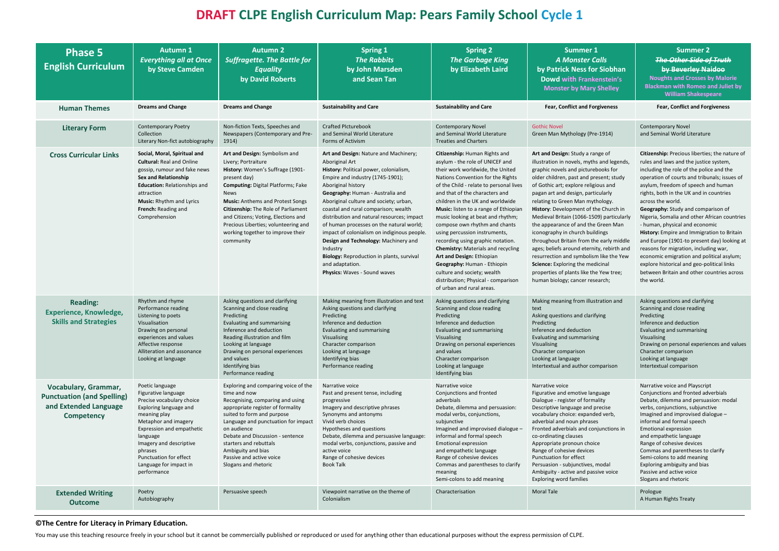**©The Centre for Literacy in Primary Education.**

| <b>Phase 5</b><br><b>English Curriculum</b>                                                                    | <b>Autumn 1</b><br><b>Everything all at Once</b><br>by Steve Camden                                                                                                                                                                                                                     | <b>Autumn 2</b><br><b>Suffragette. The Battle for</b><br><b>Equality</b><br>by David Roberts                                                                                                                                                                                                                                                                                                   | <b>Spring 1</b><br><b>The Rabbits</b><br>by John Marsden<br>and Sean Tan                                                                                                                                                                                                                                                                                                                                                                                                                                                                                                              | <b>Spring 2</b><br><b>The Garbage King</b><br>by Elizabeth Laird                                                                                                                                                                                                                                                                                                                                                                                                                                                                                                                                                                                            | <b>Summer 1</b><br><b>A Monster Calls</b><br>by Patrick Ness for Siobhan<br>Dowd with Frankenstein's<br><b>Monster by Mary Shelley</b>                                                                                                                                                                                                                                                                                                                                                                                                                                                                                                                                                                   | <b>Summer 2</b><br><b>The Other Side of Truth</b><br>by Beverley Naidoo<br><b>Noughts and Crosses by Malorie</b><br><b>Blackman with Romeo and Juliet by</b><br><b>William Shakespeare</b>                                                                                                                                                                                                                                                                                                                                                                                                                                                                                                                       |
|----------------------------------------------------------------------------------------------------------------|-----------------------------------------------------------------------------------------------------------------------------------------------------------------------------------------------------------------------------------------------------------------------------------------|------------------------------------------------------------------------------------------------------------------------------------------------------------------------------------------------------------------------------------------------------------------------------------------------------------------------------------------------------------------------------------------------|---------------------------------------------------------------------------------------------------------------------------------------------------------------------------------------------------------------------------------------------------------------------------------------------------------------------------------------------------------------------------------------------------------------------------------------------------------------------------------------------------------------------------------------------------------------------------------------|-------------------------------------------------------------------------------------------------------------------------------------------------------------------------------------------------------------------------------------------------------------------------------------------------------------------------------------------------------------------------------------------------------------------------------------------------------------------------------------------------------------------------------------------------------------------------------------------------------------------------------------------------------------|----------------------------------------------------------------------------------------------------------------------------------------------------------------------------------------------------------------------------------------------------------------------------------------------------------------------------------------------------------------------------------------------------------------------------------------------------------------------------------------------------------------------------------------------------------------------------------------------------------------------------------------------------------------------------------------------------------|------------------------------------------------------------------------------------------------------------------------------------------------------------------------------------------------------------------------------------------------------------------------------------------------------------------------------------------------------------------------------------------------------------------------------------------------------------------------------------------------------------------------------------------------------------------------------------------------------------------------------------------------------------------------------------------------------------------|
| <b>Human Themes</b>                                                                                            | <b>Dreams and Change</b>                                                                                                                                                                                                                                                                | <b>Dreams and Change</b>                                                                                                                                                                                                                                                                                                                                                                       | <b>Sustainability and Care</b>                                                                                                                                                                                                                                                                                                                                                                                                                                                                                                                                                        | <b>Sustainability and Care</b>                                                                                                                                                                                                                                                                                                                                                                                                                                                                                                                                                                                                                              | <b>Fear, Conflict and Forgiveness</b>                                                                                                                                                                                                                                                                                                                                                                                                                                                                                                                                                                                                                                                                    | <b>Fear, Conflict and Forgiveness</b>                                                                                                                                                                                                                                                                                                                                                                                                                                                                                                                                                                                                                                                                            |
| <b>Literary Form</b>                                                                                           | <b>Contemporary Poetry</b><br>Collection<br>Literary Non-fict autobiography                                                                                                                                                                                                             | Non-fiction Texts, Speeches and<br>Newspapers (Contemporary and Pre-<br>1914)                                                                                                                                                                                                                                                                                                                  | <b>Crafted Picturebook</b><br>and Seminal World Literature<br>Forms of Activism                                                                                                                                                                                                                                                                                                                                                                                                                                                                                                       | <b>Contemporary Novel</b><br>and Seminal World Literature<br><b>Treaties and Charters</b>                                                                                                                                                                                                                                                                                                                                                                                                                                                                                                                                                                   | <b>Gothic Novel</b><br>Green Man Mythology (Pre-1914)                                                                                                                                                                                                                                                                                                                                                                                                                                                                                                                                                                                                                                                    | <b>Contemporary Novel</b><br>and Seminal World Literature                                                                                                                                                                                                                                                                                                                                                                                                                                                                                                                                                                                                                                                        |
| <b>Cross Curricular Links</b>                                                                                  | Social, Moral, Spiritual and<br><b>Cultural: Real and Online</b><br>gossip, rumour and fake news<br><b>Sex and Relationship</b><br>Education: Relationships and<br>attraction<br><b>Music: Rhythm and Lyrics</b><br>French: Reading and<br>Comprehension                                | Art and Design: Symbolism and<br>Livery; Portraiture<br>History: Women's Suffrage (1901-<br>present day)<br><b>Computing: Digital Platforms; Fake</b><br><b>News</b><br><b>Music:</b> Anthems and Protest Songs<br><b>Citizenship:</b> The Role of Parliament<br>and Citizens; Voting, Elections and<br>Precious Liberties; volunteering and<br>working together to improve their<br>community | Art and Design: Nature and Machinery;<br>Aboriginal Art<br>History: Political power, colonialism,<br>Empire and industry (1745-1901);<br>Aboriginal history<br>Geography: Human - Australia and<br>Aboriginal culture and society; urban,<br>coastal and rural comparison; wealth<br>distribution and natural resources; impact<br>of human processes on the natural world;<br>impact of colonialism on indiginous people.<br>Design and Technology: Machinery and<br>Industry<br><b>Biology: Reproduction in plants, survival</b><br>and adaptation.<br>Physics: Waves - Sound waves | Citizenship: Human Rights and<br>asylum - the role of UNICEF and<br>their work worldwide, the United<br>Nations Convention for the Rights<br>of the Child - relate to personal lives<br>and that of the characters and<br>children in the UK and worldwide<br>Music: listen to a range of Ethiopian<br>music looking at beat and rhythm;<br>compose own rhythm and chants<br>using percussion instruments,<br>recording using graphic notation.<br><b>Chemistry: Materials and recycling</b><br>Art and Design: Ethiopian<br>Geography: Human - Ethiopin<br>culture and society; wealth<br>distribution; Physical - comparison<br>of urban and rural areas. | Art and Design: Study a range of<br>illustration in novels, myths and legends<br>graphic novels and picturebooks for<br>older children, past and present; study<br>of Gothic art; explore religious and<br>pagan art and design, particularly<br>relating to Green Man mythology.<br>History: Development of the Church in<br>Medieval Britain (1066-1509) particularly<br>the appearance of and the Green Man<br>iconography in church buildings<br>throughout Britain from the early middle<br>ages; beliefs around eternity, rebirth and<br>resurrection and symbolism like the Yew<br>Science: Exploring the medicinal<br>properties of plants like the Yew tree;<br>human biology; cancer research; | Citizenship: Precious liberties; the nature of<br>rules and laws and the justice system,<br>including the role of the police and the<br>operation of courts and tribunals; issues of<br>asylum, freedom of speech and human<br>rights, both in the UK and in countries<br>across the world.<br>Geography: Study and comparison of<br>Nigeria, Somalia and other African countries<br>- human, physical and economic<br>History: Empire and Immigration to Britain<br>and Europe (1901-to present day) looking at<br>reasons for migration, including war,<br>economic emigration and political asylum;<br>explore historical and geo-political links<br>between Britain and other countries across<br>the world. |
| <b>Reading:</b><br><b>Experience, Knowledge,</b><br><b>Skills and Strategies</b>                               | Rhythm and rhyme<br>Performance reading<br>Listening to poets<br>Visualisation<br>Drawing on personal<br>experiences and values<br>Affective response<br>Alliteration and assonance<br>Looking at language                                                                              | Asking questions and clarifying<br>Scanning and close reading<br>Predicting<br>Evaluating and summarising<br>Inference and deduction<br>Reading illustration and film<br>Looking at language<br>Drawing on personal experiences<br>and values<br>Identifying bias<br>Performance reading                                                                                                       | Making meaning from illustration and text<br>Asking questions and clarifying<br>Predicting<br>Inference and deduction<br>Evaluating and summarising<br>Visualising<br>Character comparison<br>Looking at language<br>Identifying bias<br>Performance reading                                                                                                                                                                                                                                                                                                                          | Asking questions and clarifying<br>Scanning and close reading<br>Predicting<br>Inference and deduction<br>Evaluating and summarising<br>Visualising<br>Drawing on personal experiences<br>and values<br>Character comparison<br>Looking at language<br>Identifying bias                                                                                                                                                                                                                                                                                                                                                                                     | Making meaning from illustration and<br>text<br>Asking questions and clarifying<br>Predicting<br>Inference and deduction<br>Evaluating and summarising<br>Visualising<br>Character comparison<br>Looking at language<br>Intertextual and author comparison                                                                                                                                                                                                                                                                                                                                                                                                                                               | Asking questions and clarifying<br>Scanning and close reading<br>Predicting<br>Inference and deduction<br>Evaluating and summarising<br>Visualising<br>Drawing on personal experiences and values<br>Character comparison<br>Looking at language<br>Intertextual comparison                                                                                                                                                                                                                                                                                                                                                                                                                                      |
| <b>Vocabulary, Grammar,</b><br><b>Punctuation (and Spelling)</b><br>and Extended Language<br><b>Competency</b> | Poetic language<br>Figurative language<br>Precise vocabulary choice<br>Exploring language and<br>meaning play<br>Metaphor and imagery<br>Expression and empathetic<br>language<br>Imagery and descriptive<br>phrases<br>Punctuation for effect<br>Language for impact in<br>performance | Exploring and comparing voice of the<br>time and now<br>Recognising, comparing and using<br>appropriate register of formality<br>suited to form and purpose<br>Language and punctuation for impact<br>on audience<br>Debate and Discussion - sentence<br>starters and rebuttals<br>Ambiguity and bias<br>Passive and active voice<br>Slogans and rhetoric                                      | Narrative voice<br>Past and present tense, including<br>progressive<br>Imagery and descriptive phrases<br>Synonyms and antonyms<br>Vivid verb choices<br>Hypotheses and questions<br>Debate, dilemma and persuasive language:<br>modal verbs, conjunctions, passive and<br>active voice<br>Range of cohesive devices<br><b>Book Talk</b>                                                                                                                                                                                                                                              | Narrative voice<br>Conjunctions and fronted<br>adverbials<br>Debate, dilemma and persuasion:<br>modal verbs, conjunctions,<br>subjunctive<br>Imagined and improvised dialogue -<br>informal and formal speech<br><b>Emotional expression</b><br>and empathetic language<br>Range of cohesive devices<br>Commas and parentheses to clarify<br>meaning<br>Semi-colons to add meaning                                                                                                                                                                                                                                                                          | Narrative voice<br>Figurative and emotive language<br>Dialogue - register of formality<br>Descriptive language and precise<br>vocabulary choice: expanded verb,<br>adverbial and noun phrases<br>Fronted adverbials and conjunctions in<br>co-ordinating clauses<br>Appropriate pronoun choice<br>Range of cohesive devices<br>Punctuation for effect<br>Persuasion - subjunctives, modal<br>Ambiguity - active and passive voice<br><b>Exploring word families</b>                                                                                                                                                                                                                                      | Narrative voice and Playscript<br>Conjunctions and fronted adverbials<br>Debate, dilemma and persuasion: modal<br>verbs, conjunctions, subjunctive<br>Imagined and improvised dialogue -<br>informal and formal speech<br><b>Emotional expression</b><br>and empathetic language<br>Range of cohesive devices<br>Commas and parentheses to clarify<br>Semi-colons to add meaning<br>Exploring ambiguity and bias<br>Passive and active voice<br>Slogans and rhetoric                                                                                                                                                                                                                                             |
| <b>Extended Writing</b><br><b>Outcome</b>                                                                      | Poetry<br>Autobiography                                                                                                                                                                                                                                                                 | Persuasive speech                                                                                                                                                                                                                                                                                                                                                                              | Viewpoint narrative on the theme of<br>Colonialism                                                                                                                                                                                                                                                                                                                                                                                                                                                                                                                                    | Characterisation                                                                                                                                                                                                                                                                                                                                                                                                                                                                                                                                                                                                                                            | <b>Moral Tale</b>                                                                                                                                                                                                                                                                                                                                                                                                                                                                                                                                                                                                                                                                                        | Prologue<br>A Human Rights Treaty                                                                                                                                                                                                                                                                                                                                                                                                                                                                                                                                                                                                                                                                                |